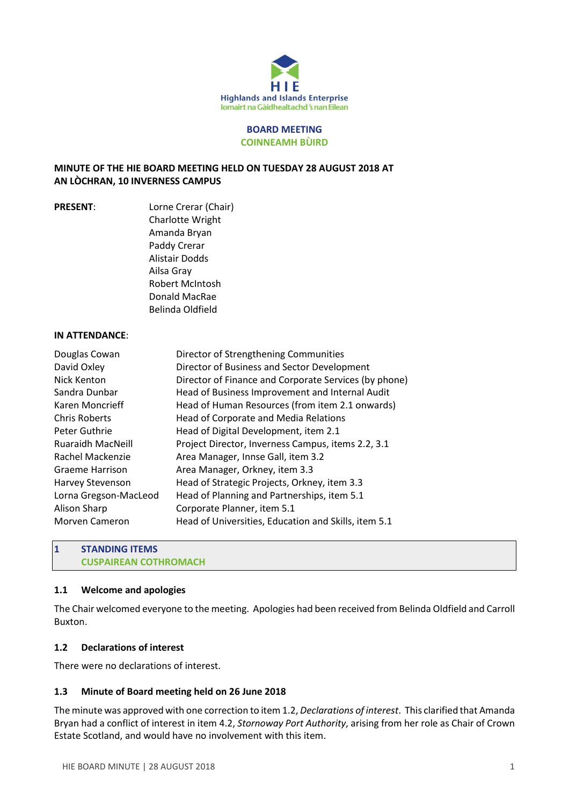

#### **BOARD MEETING COINNEAMH BÙIRD**

## **MINUTE OF THE HIE BOARD MEETING HELD ON TUESDAY 28 AUGUST 2018 AT AN LÒCHRAN, 10 INVERNESS CAMPUS**

**PRESENT**: Lorne Crerar (Chair) Charlotte Wright Amanda Bryan Paddy Crerar Alistair Dodds Ailsa Gray Robert McIntosh Donald MacRae Belinda Oldfield

#### **IN ATTENDANCE**:

| Director of Strengthening Communities                 |
|-------------------------------------------------------|
| Director of Business and Sector Development           |
| Director of Finance and Corporate Services (by phone) |
| Head of Business Improvement and Internal Audit       |
| Head of Human Resources (from item 2.1 onwards)       |
| Head of Corporate and Media Relations                 |
| Head of Digital Development, item 2.1                 |
| Project Director, Inverness Campus, items 2.2, 3.1    |
| Area Manager, Innse Gall, item 3.2                    |
| Area Manager, Orkney, item 3.3                        |
| Head of Strategic Projects, Orkney, item 3.3          |
| Head of Planning and Partnerships, item 5.1           |
| Corporate Planner, item 5.1                           |
| Head of Universities, Education and Skills, item 5.1  |
|                                                       |

## **1 STANDING ITEMS CUSPAIREAN COTHROMACH**

#### **1.1 Welcome and apologies**

The Chair welcomed everyone to the meeting. Apologies had been received from Belinda Oldfield and Carroll Buxton.

#### **1.2 Declarations of interest**

There were no declarations of interest.

# **1.3 Minute of Board meeting held on 26 June 2018**

The minute was approved with one correction to item 1.2, *Declarations of interest*. This clarified that Amanda Bryan had a conflict of interest in item 4.2, *Stornoway Port Authority*, arising from her role as Chair of Crown Estate Scotland, and would have no involvement with this item.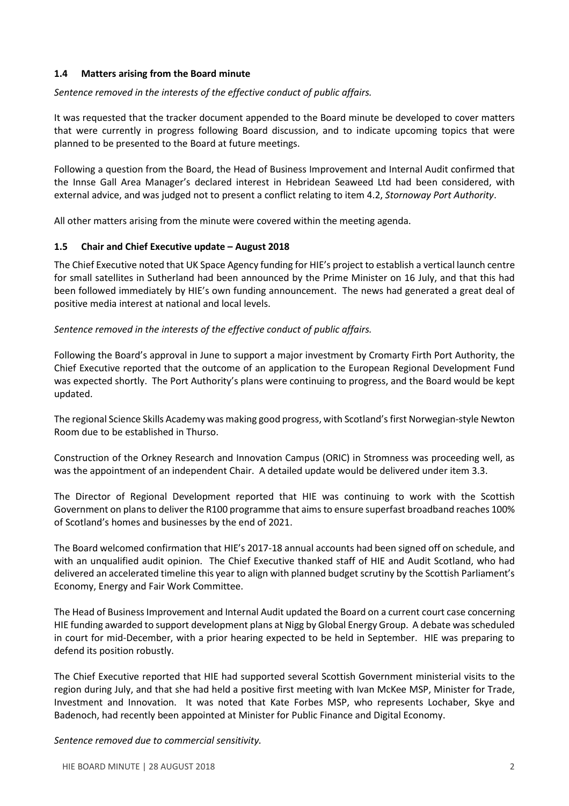## **1.4 Matters arising from the Board minute**

## *Sentence removed in the interests of the effective conduct of public affairs.*

It was requested that the tracker document appended to the Board minute be developed to cover matters that were currently in progress following Board discussion, and to indicate upcoming topics that were planned to be presented to the Board at future meetings.

Following a question from the Board, the Head of Business Improvement and Internal Audit confirmed that the Innse Gall Area Manager's declared interest in Hebridean Seaweed Ltd had been considered, with external advice, and was judged not to present a conflict relating to item 4.2, *Stornoway Port Authority*.

All other matters arising from the minute were covered within the meeting agenda.

## **1.5 Chair and Chief Executive update – August 2018**

The Chief Executive noted that UK Space Agency funding for HIE's project to establish a vertical launch centre for small satellites in Sutherland had been announced by the Prime Minister on 16 July, and that this had been followed immediately by HIE's own funding announcement. The news had generated a great deal of positive media interest at national and local levels.

## *Sentence removed in the interests of the effective conduct of public affairs.*

Following the Board's approval in June to support a major investment by Cromarty Firth Port Authority, the Chief Executive reported that the outcome of an application to the European Regional Development Fund was expected shortly. The Port Authority's plans were continuing to progress, and the Board would be kept updated.

The regional Science Skills Academy was making good progress, with Scotland'sfirst Norwegian-style Newton Room due to be established in Thurso.

Construction of the Orkney Research and Innovation Campus (ORIC) in Stromness was proceeding well, as was the appointment of an independent Chair. A detailed update would be delivered under item 3.3.

The Director of Regional Development reported that HIE was continuing to work with the Scottish Government on plansto deliver the R100 programme that aimsto ensure superfast broadband reaches 100% of Scotland's homes and businesses by the end of 2021.

The Board welcomed confirmation that HIE's 2017-18 annual accounts had been signed off on schedule, and with an unqualified audit opinion. The Chief Executive thanked staff of HIE and Audit Scotland, who had delivered an accelerated timeline this year to align with planned budget scrutiny by the Scottish Parliament's Economy, Energy and Fair Work Committee.

The Head of Business Improvement and Internal Audit updated the Board on a current court case concerning HIE funding awarded to support development plans at Nigg by Global Energy Group. A debate wasscheduled in court for mid-December, with a prior hearing expected to be held in September. HIE was preparing to defend its position robustly.

The Chief Executive reported that HIE had supported several Scottish Government ministerial visits to the region during July, and that she had held a positive first meeting with Ivan McKee MSP, Minister for Trade, Investment and Innovation. It was noted that Kate Forbes MSP, who represents Lochaber, Skye and Badenoch, had recently been appointed at Minister for Public Finance and Digital Economy.

*Sentence removed due to commercial sensitivity.*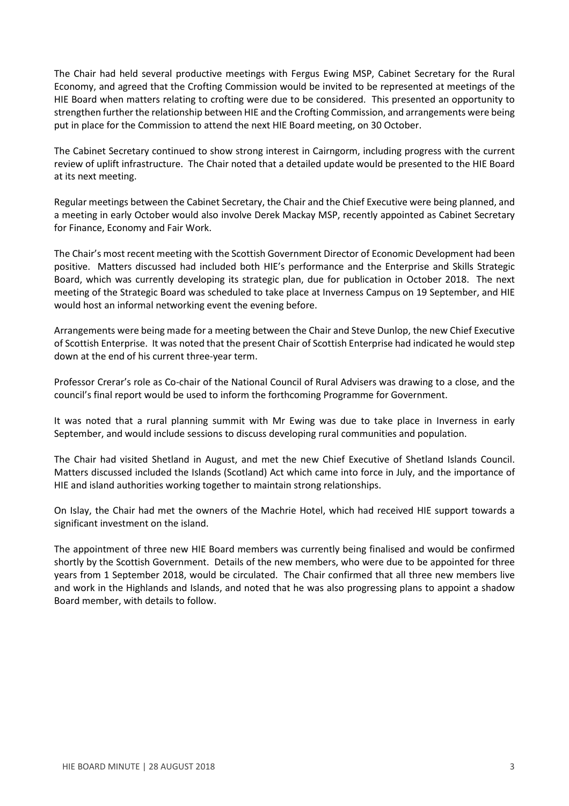The Chair had held several productive meetings with Fergus Ewing MSP, Cabinet Secretary for the Rural Economy, and agreed that the Crofting Commission would be invited to be represented at meetings of the HIE Board when matters relating to crofting were due to be considered. This presented an opportunity to strengthen further the relationship between HIE and the Crofting Commission, and arrangements were being put in place for the Commission to attend the next HIE Board meeting, on 30 October.

The Cabinet Secretary continued to show strong interest in Cairngorm, including progress with the current review of uplift infrastructure. The Chair noted that a detailed update would be presented to the HIE Board at its next meeting.

Regular meetings between the Cabinet Secretary, the Chair and the Chief Executive were being planned, and a meeting in early October would also involve Derek Mackay MSP, recently appointed as Cabinet Secretary for Finance, Economy and Fair Work.

The Chair's most recent meeting with the Scottish Government Director of Economic Development had been positive. Matters discussed had included both HIE's performance and the Enterprise and Skills Strategic Board, which was currently developing its strategic plan, due for publication in October 2018. The next meeting of the Strategic Board was scheduled to take place at Inverness Campus on 19 September, and HIE would host an informal networking event the evening before.

Arrangements were being made for a meeting between the Chair and Steve Dunlop, the new Chief Executive of Scottish Enterprise. It was noted that the present Chair of Scottish Enterprise had indicated he would step down at the end of his current three-year term.

Professor Crerar's role as Co-chair of the National Council of Rural Advisers was drawing to a close, and the council's final report would be used to inform the forthcoming Programme for Government.

It was noted that a rural planning summit with Mr Ewing was due to take place in Inverness in early September, and would include sessions to discuss developing rural communities and population.

The Chair had visited Shetland in August, and met the new Chief Executive of Shetland Islands Council. Matters discussed included the Islands (Scotland) Act which came into force in July, and the importance of HIE and island authorities working together to maintain strong relationships.

On Islay, the Chair had met the owners of the Machrie Hotel, which had received HIE support towards a significant investment on the island.

The appointment of three new HIE Board members was currently being finalised and would be confirmed shortly by the Scottish Government. Details of the new members, who were due to be appointed for three years from 1 September 2018, would be circulated. The Chair confirmed that all three new members live and work in the Highlands and Islands, and noted that he was also progressing plans to appoint a shadow Board member, with details to follow.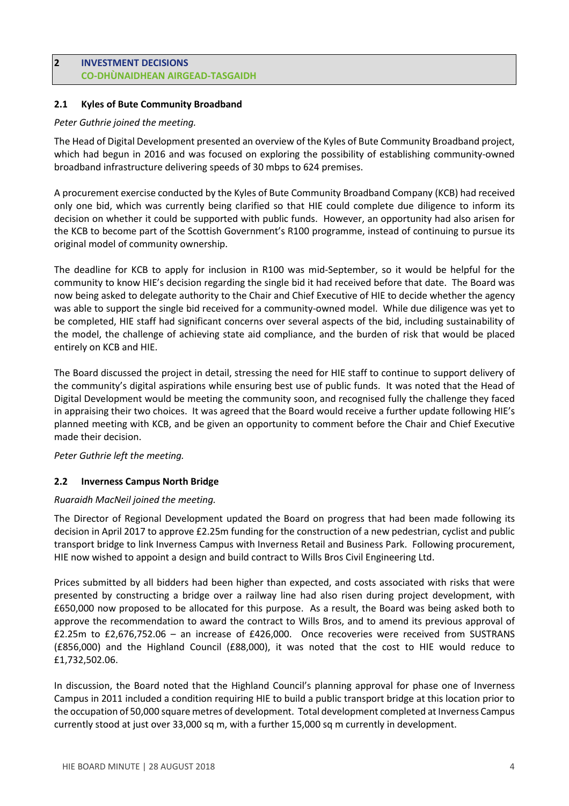## **2 INVESTMENT DECISIONS CO-DHÙNAIDHEAN AIRGEAD-TASGAIDH**

# **2.1 Kyles of Bute Community Broadband**

## *Peter Guthrie joined the meeting.*

The Head of Digital Development presented an overview of the Kyles of Bute Community Broadband project, which had begun in 2016 and was focused on exploring the possibility of establishing community-owned broadband infrastructure delivering speeds of 30 mbps to 624 premises.

A procurement exercise conducted by the Kyles of Bute Community Broadband Company (KCB) had received only one bid, which was currently being clarified so that HIE could complete due diligence to inform its decision on whether it could be supported with public funds. However, an opportunity had also arisen for the KCB to become part of the Scottish Government's R100 programme, instead of continuing to pursue its original model of community ownership.

The deadline for KCB to apply for inclusion in R100 was mid-September, so it would be helpful for the community to know HIE's decision regarding the single bid it had received before that date. The Board was now being asked to delegate authority to the Chair and Chief Executive of HIE to decide whether the agency was able to support the single bid received for a community-owned model. While due diligence was yet to be completed, HIE staff had significant concerns over several aspects of the bid, including sustainability of the model, the challenge of achieving state aid compliance, and the burden of risk that would be placed entirely on KCB and HIE.

The Board discussed the project in detail, stressing the need for HIE staff to continue to support delivery of the community's digital aspirations while ensuring best use of public funds. It was noted that the Head of Digital Development would be meeting the community soon, and recognised fully the challenge they faced in appraising their two choices. It was agreed that the Board would receive a further update following HIE's planned meeting with KCB, and be given an opportunity to comment before the Chair and Chief Executive made their decision.

# *Peter Guthrie left the meeting.*

# **2.2 Inverness Campus North Bridge**

#### *Ruaraidh MacNeil joined the meeting.*

The Director of Regional Development updated the Board on progress that had been made following its decision in April 2017 to approve £2.25m funding for the construction of a new pedestrian, cyclist and public transport bridge to link Inverness Campus with Inverness Retail and Business Park. Following procurement, HIE now wished to appoint a design and build contract to Wills Bros Civil Engineering Ltd.

Prices submitted by all bidders had been higher than expected, and costs associated with risks that were presented by constructing a bridge over a railway line had also risen during project development, with £650,000 now proposed to be allocated for this purpose. As a result, the Board was being asked both to approve the recommendation to award the contract to Wills Bros, and to amend its previous approval of £2.25m to £2,676,752.06 – an increase of £426,000. Once recoveries were received from SUSTRANS (£856,000) and the Highland Council (£88,000), it was noted that the cost to HIE would reduce to £1,732,502.06.

In discussion, the Board noted that the Highland Council's planning approval for phase one of Inverness Campus in 2011 included a condition requiring HIE to build a public transport bridge at this location prior to the occupation of 50,000 square metres of development. Total development completed at Inverness Campus currently stood at just over 33,000 sq m, with a further 15,000 sq m currently in development.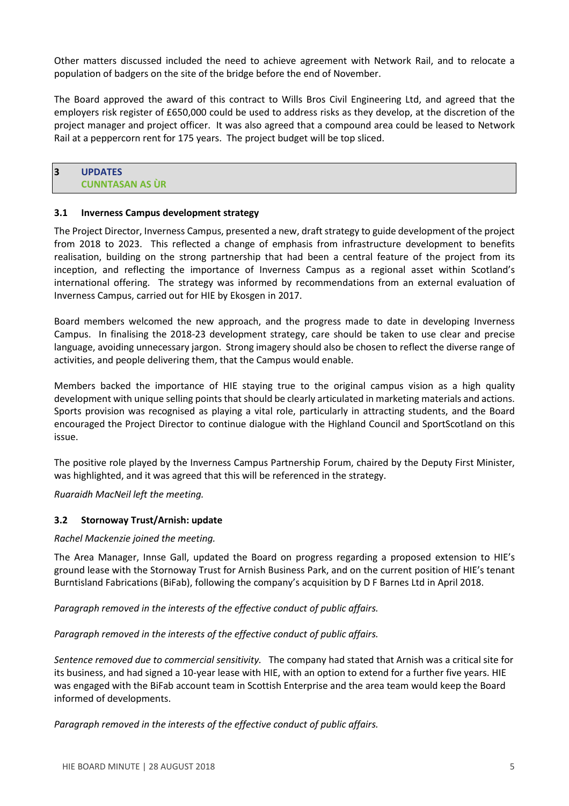Other matters discussed included the need to achieve agreement with Network Rail, and to relocate a population of badgers on the site of the bridge before the end of November.

The Board approved the award of this contract to Wills Bros Civil Engineering Ltd, and agreed that the employers risk register of £650,000 could be used to address risks as they develop, at the discretion of the project manager and project officer. It was also agreed that a compound area could be leased to Network Rail at a peppercorn rent for 175 years. The project budget will be top sliced.

# **3 UPDATES CUNNTASAN AS ÙR**

#### **3.1 Inverness Campus development strategy**

The Project Director, Inverness Campus, presented a new, draft strategy to guide development of the project from 2018 to 2023. This reflected a change of emphasis from infrastructure development to benefits realisation, building on the strong partnership that had been a central feature of the project from its inception, and reflecting the importance of Inverness Campus as a regional asset within Scotland's international offering. The strategy was informed by recommendations from an external evaluation of Inverness Campus, carried out for HIE by Ekosgen in 2017.

Board members welcomed the new approach, and the progress made to date in developing Inverness Campus. In finalising the 2018-23 development strategy, care should be taken to use clear and precise language, avoiding unnecessary jargon. Strong imagery should also be chosen to reflect the diverse range of activities, and people delivering them, that the Campus would enable.

Members backed the importance of HIE staying true to the original campus vision as a high quality development with unique selling points that should be clearly articulated in marketing materials and actions. Sports provision was recognised as playing a vital role, particularly in attracting students, and the Board encouraged the Project Director to continue dialogue with the Highland Council and SportScotland on this issue.

The positive role played by the Inverness Campus Partnership Forum, chaired by the Deputy First Minister, was highlighted, and it was agreed that this will be referenced in the strategy.

*Ruaraidh MacNeil left the meeting.*

#### **3.2 Stornoway Trust/Arnish: update**

#### *Rachel Mackenzie joined the meeting.*

The Area Manager, Innse Gall, updated the Board on progress regarding a proposed extension to HIE's ground lease with the Stornoway Trust for Arnish Business Park, and on the current position of HIE's tenant Burntisland Fabrications (BiFab), following the company's acquisition by D F Barnes Ltd in April 2018.

*Paragraph removed in the interests of the effective conduct of public affairs.* 

*Paragraph removed in the interests of the effective conduct of public affairs.* 

*Sentence removed due to commercial sensitivity.* The company had stated that Arnish was a critical site for its business, and had signed a 10-year lease with HIE, with an option to extend for a further five years. HIE was engaged with the BiFab account team in Scottish Enterprise and the area team would keep the Board informed of developments.

*Paragraph removed in the interests of the effective conduct of public affairs.*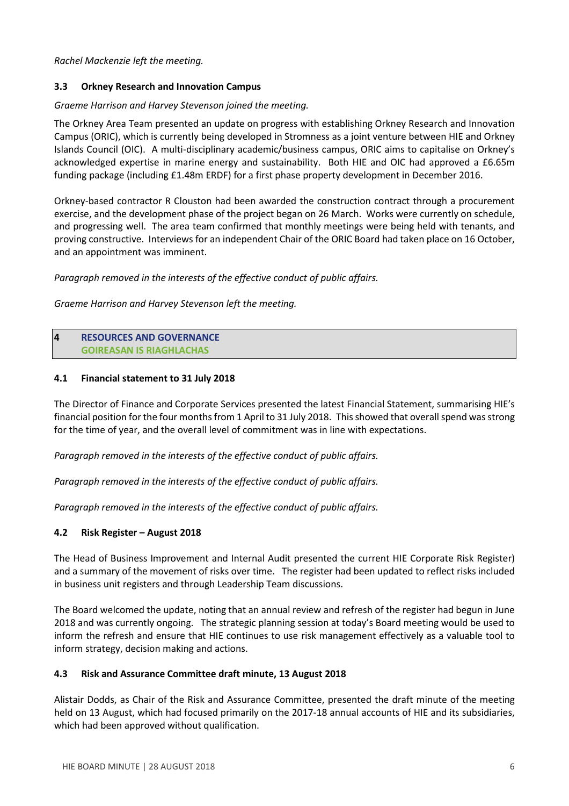*Rachel Mackenzie left the meeting.*

# **3.3 Orkney Research and Innovation Campus**

## *Graeme Harrison and Harvey Stevenson joined the meeting.*

The Orkney Area Team presented an update on progress with establishing Orkney Research and Innovation Campus (ORIC), which is currently being developed in Stromness as a joint venture between HIE and Orkney Islands Council (OIC). A multi-disciplinary academic/business campus, ORIC aims to capitalise on Orkney's acknowledged expertise in marine energy and sustainability. Both HIE and OIC had approved a £6.65m funding package (including £1.48m ERDF) for a first phase property development in December 2016.

Orkney-based contractor R Clouston had been awarded the construction contract through a procurement exercise, and the development phase of the project began on 26 March. Works were currently on schedule, and progressing well. The area team confirmed that monthly meetings were being held with tenants, and proving constructive. Interviews for an independent Chair of the ORIC Board had taken place on 16 October, and an appointment was imminent.

*Paragraph removed in the interests of the effective conduct of public affairs.* 

*Graeme Harrison and Harvey Stevenson left the meeting.*

## **4 RESOURCES AND GOVERNANCE GOIREASAN IS RIAGHLACHAS**

## **4.1 Financial statement to 31 July 2018**

The Director of Finance and Corporate Services presented the latest Financial Statement, summarising HIE's financial position for the four months from 1 April to 31 July 2018. This showed that overall spend was strong for the time of year, and the overall level of commitment was in line with expectations.

*Paragraph removed in the interests of the effective conduct of public affairs.* 

*Paragraph removed in the interests of the effective conduct of public affairs.* 

*Paragraph removed in the interests of the effective conduct of public affairs.* 

# **4.2 Risk Register – August 2018**

The Head of Business Improvement and Internal Audit presented the current HIE Corporate Risk Register) and a summary of the movement of risks over time. The register had been updated to reflect risks included in business unit registers and through Leadership Team discussions.

The Board welcomed the update, noting that an annual review and refresh of the register had begun in June 2018 and was currently ongoing. The strategic planning session at today's Board meeting would be used to inform the refresh and ensure that HIE continues to use risk management effectively as a valuable tool to inform strategy, decision making and actions.

#### **4.3 Risk and Assurance Committee draft minute, 13 August 2018**

Alistair Dodds, as Chair of the Risk and Assurance Committee, presented the draft minute of the meeting held on 13 August, which had focused primarily on the 2017-18 annual accounts of HIE and its subsidiaries, which had been approved without qualification.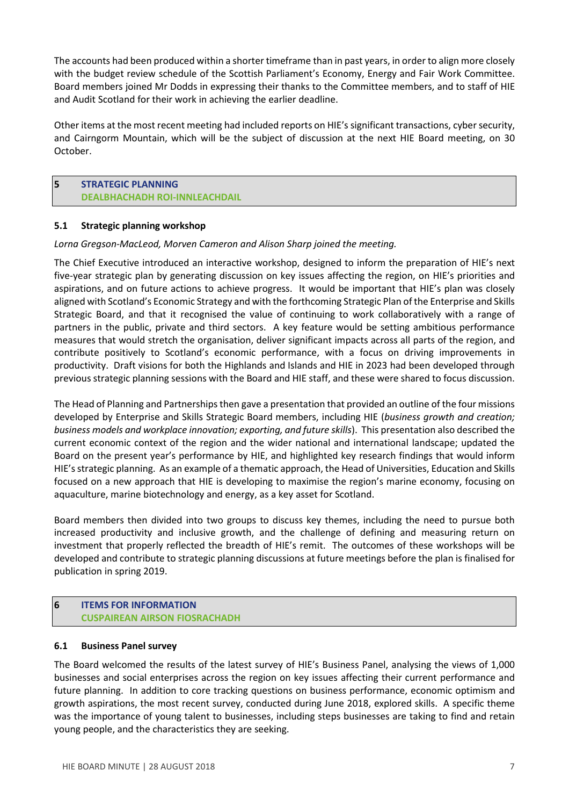The accounts had been produced within a shorter timeframe than in past years, in order to align more closely with the budget review schedule of the Scottish Parliament's Economy, Energy and Fair Work Committee. Board members joined Mr Dodds in expressing their thanks to the Committee members, and to staff of HIE and Audit Scotland for their work in achieving the earlier deadline.

Other items at the most recent meeting had included reports on HIE's significant transactions, cyber security, and Cairngorm Mountain, which will be the subject of discussion at the next HIE Board meeting, on 30 October.

## **5 STRATEGIC PLANNING DEALBHACHADH ROI-INNLEACHDAIL**

#### **5.1 Strategic planning workshop**

## *Lorna Gregson-MacLeod, Morven Cameron and Alison Sharp joined the meeting.*

The Chief Executive introduced an interactive workshop, designed to inform the preparation of HIE's next five-year strategic plan by generating discussion on key issues affecting the region, on HIE's priorities and aspirations, and on future actions to achieve progress. It would be important that HIE's plan was closely aligned with Scotland's Economic Strategy and with the forthcoming Strategic Plan of the Enterprise and Skills Strategic Board, and that it recognised the value of continuing to work collaboratively with a range of partners in the public, private and third sectors. A key feature would be setting ambitious performance measures that would stretch the organisation, deliver significant impacts across all parts of the region, and contribute positively to Scotland's economic performance, with a focus on driving improvements in productivity. Draft visions for both the Highlands and Islands and HIE in 2023 had been developed through previous strategic planning sessions with the Board and HIE staff, and these were shared to focus discussion.

The Head of Planning and Partnerships then gave a presentation that provided an outline of the four missions developed by Enterprise and Skills Strategic Board members, including HIE (*business growth and creation; business models and workplace innovation; exporting, and future skills*). This presentation also described the current economic context of the region and the wider national and international landscape; updated the Board on the present year's performance by HIE, and highlighted key research findings that would inform HIE'sstrategic planning. As an example of a thematic approach, the Head of Universities, Education and Skills focused on a new approach that HIE is developing to maximise the region's marine economy, focusing on aquaculture, marine biotechnology and energy, as a key asset for Scotland.

Board members then divided into two groups to discuss key themes, including the need to pursue both increased productivity and inclusive growth, and the challenge of defining and measuring return on investment that properly reflected the breadth of HIE's remit. The outcomes of these workshops will be developed and contribute to strategic planning discussions at future meetings before the plan is finalised for publication in spring 2019.

# **6 ITEMS FOR INFORMATION CUSPAIREAN AIRSON FIOSRACHADH**

#### **6.1 Business Panel survey**

The Board welcomed the results of the latest survey of HIE's Business Panel, analysing the views of 1,000 businesses and social enterprises across the region on key issues affecting their current performance and future planning. In addition to core tracking questions on business performance, economic optimism and growth aspirations, the most recent survey, conducted during June 2018, explored skills. A specific theme was the importance of young talent to businesses, including steps businesses are taking to find and retain young people, and the characteristics they are seeking.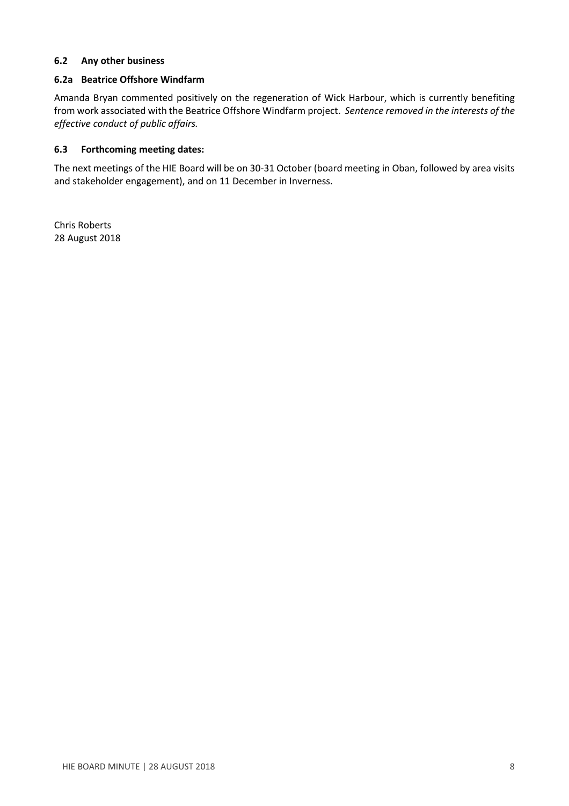## **6.2 Any other business**

## **6.2a Beatrice Offshore Windfarm**

Amanda Bryan commented positively on the regeneration of Wick Harbour, which is currently benefiting from work associated with the Beatrice Offshore Windfarm project. *Sentence removed in the interests of the effective conduct of public affairs.* 

## **6.3 Forthcoming meeting dates:**

The next meetings of the HIE Board will be on 30-31 October (board meeting in Oban, followed by area visits and stakeholder engagement), and on 11 December in Inverness.

Chris Roberts 28 August 2018